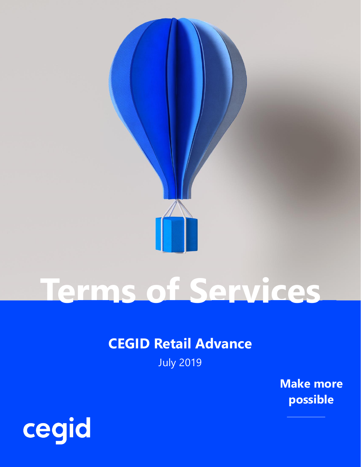

# **Terms of Services**

### **CEGID Retail Advance**

July 2019

**Make more possible**

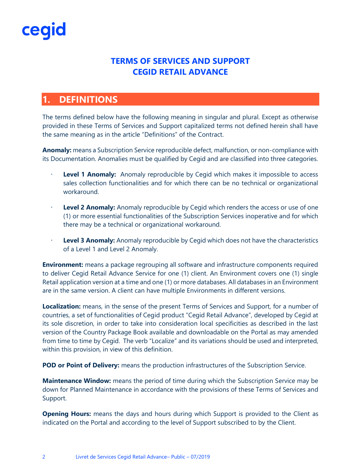#### **TERMS OF SERVICES AND SUPPORT CEGID RETAIL ADVANCE**

### **1. DEFINITIONS**

The terms defined below have the following meaning in singular and plural. Except as otherwise provided in these Terms of Services and Support capitalized terms not defined herein shall have the same meaning as in the article "Definitions" of the Contract.

**Anomaly:** means a Subscription Service reproducible defect, malfunction, or non-compliance with its Documentation. Anomalies must be qualified by Cegid and are classified into three categories.

- **Level 1 Anomaly:** Anomaly reproducible by Cegid which makes it impossible to access sales collection functionalities and for which there can be no technical or organizational workaround.
- Level 2 Anomaly: Anomaly reproducible by Cegid which renders the access or use of one (1) or more essential functionalities of the Subscription Services inoperative and for which there may be a technical or organizational workaround.
- · **Level 3 Anomaly:** Anomaly reproducible by Cegid which does not have the characteristics of a Level 1 and Level 2 Anomaly.

**Environment:** means a package regrouping all software and infrastructure components required to deliver Cegid Retail Advance Service for one (1) client. An Environment covers one (1) single Retail application version at a time and one (1) or more databases. All databases in an Environment are in the same version. A client can have multiple Environments in different versions.

**Localization:** means, in the sense of the present Terms of Services and Support, for a number of countries, a set of functionalities of Cegid product "Cegid Retail Advance", developed by Cegid at its sole discretion, in order to take into consideration local specificities as described in the last version of the Country Package Book available and downloadable on the Portal as may amended from time to time by Cegid. The verb "Localize" and its variations should be used and interpreted, within this provision, in view of this definition.

**POD or Point of Delivery:** means the production infrastructures of the Subscription Service.

**Maintenance Window:** means the period of time during which the Subscription Service may be down for Planned Maintenance in accordance with the provisions of these Terms of Services and Support.

**Opening Hours:** means the days and hours during which Support is provided to the Client as indicated on the Portal and according to the level of Support subscribed to by the Client.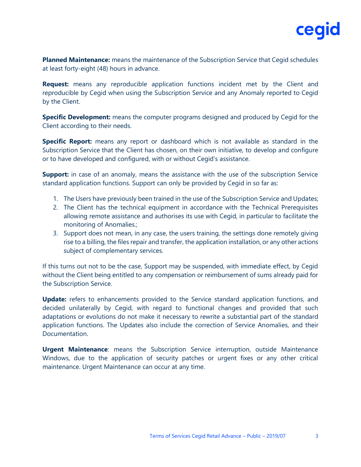

**Planned Maintenance:** means the maintenance of the Subscription Service that Cegid schedules at least forty-eight (48) hours in advance.

**Request:** means any reproducible application functions incident met by the Client and reproducible by Cegid when using the Subscription Service and any Anomaly reported to Cegid by the Client.

**Specific Development:** means the computer programs designed and produced by Cegid for the Client according to their needs.

**Specific Report:** means any report or dashboard which is not available as standard in the Subscription Service that the Client has chosen, on their own initiative, to develop and configure or to have developed and configured, with or without Cegid's assistance.

**Support:** in case of an anomaly, means the assistance with the use of the subscription Service standard application functions. Support can only be provided by Cegid in so far as:

- 1. The Users have previously been trained in the use of the Subscription Service and Updates;
- 2. The Client has the technical equipment in accordance with the Technical Prerequisites allowing remote assistance and authorises its use with Cegid, in particular to facilitate the monitoring of Anomalies.;
- 3. Support does not mean, in any case, the users training, the settings done remotely giving rise to a billing, the files repair and transfer, the application installation, or any other actions subject of complementary services.

If this turns out not to be the case, Support may be suspended, with immediate effect, by Cegid without the Client being entitled to any compensation or reimbursement of sums already paid for the Subscription Service.

**Update:** refers to enhancements provided to the Service standard application functions, and decided unilaterally by Cegid, with regard to functional changes and provided that such adaptations or evolutions do not make it necessary to rewrite a substantial part of the standard application functions. The Updates also include the correction of Service Anomalies, and their Documentation.

**Urgent Maintenance**: means the Subscription Service interruption, outside Maintenance Windows, due to the application of security patches or urgent fixes or any other critical maintenance. Urgent Maintenance can occur at any time.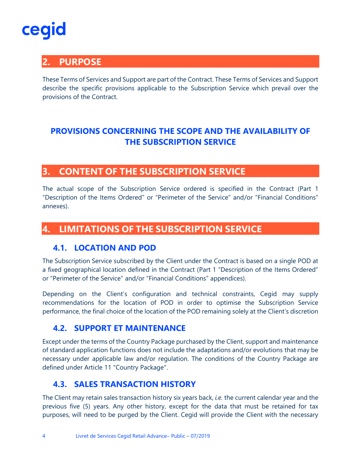### **2. PURPOSE**

These Terms of Services and Support are part of the Contract. These Terms of Services and Support describe the specific provisions applicable to the Subscription Service which prevail over the provisions of the Contract.

### **PROVISIONS CONCERNING THE SCOPE AND THE AVAILABILITY OF THE SUBSCRIPTION SERVICE**

#### **3. CONTENT OF THE SUBSCRIPTION SERVICE**

The actual scope of the Subscription Service ordered is specified in the Contract (Part 1 "Description of the Items Ordered" or "Perimeter of the Service" and/or "Financial Conditions" annexes).

#### **4. LIMITATIONS OF THE SUBSCRIPTION SERVICE**

#### **4.1. LOCATION AND POD**

The Subscription Service subscribed by the Client under the Contract is based on a single POD at a fixed geographical location defined in the Contract (Part 1 "Description of the Items Ordered" or "Perimeter of the Service" and/or "Financial Conditions" appendices).

Depending on the Client's configuration and technical constraints, Cegid may supply recommendations for the location of POD in order to optimise the Subscription Service performance, the final choice of the location of the POD remaining solely at the Client's discretion

#### **4.2. SUPPORT ET MAINTENANCE**

Except under the terms of the Country Package purchased by the Client, support and maintenance of standard application functions does not include the adaptations and/or evolutions that may be necessary under applicable law and/or regulation. The conditions of the Country Package are defined under Article 11 "Country Package".

#### **4.3. SALES TRANSACTION HISTORY**

The Client may retain sales transaction history six years back, *i.e.* the current calendar year and the previous five (5) years. Any other history, except for the data that must be retained for tax purposes, will need to be purged by the Client. Cegid will provide the Client with the necessary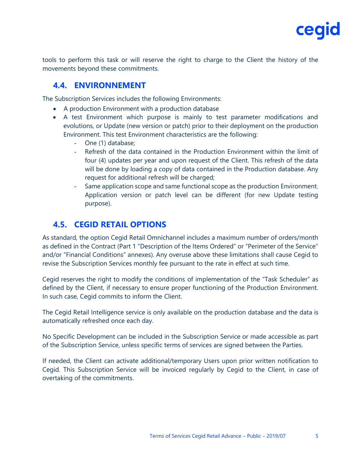

tools to perform this task or will reserve the right to charge to the Client the history of the movements beyond these commitments.

#### **4.4. ENVIRONNEMENT**

The Subscription Services includes the following Environments:

- A production Environment with a production database
- A test Environment which purpose is mainly to test parameter modifications and evolutions, or Update (new version or patch) prior to their deployment on the production Environment. This test Environment characteristics are the following:
	- One (1) database;
	- Refresh of the data contained in the Production Environment within the limit of four (4) updates per year and upon request of the Client. This refresh of the data will be done by loading a copy of data contained in the Production database. Any request for additional refresh will be charged;
	- Same application scope and same functional scope as the production Environment. Application version or patch level can be different (for new Update testing purpose).

#### **4.5. CEGID RETAIL OPTIONS**

As standard, the option Cegid Retail Omnichannel includes a maximum number of orders/month as defined in the Contract (Part 1 "Description of the Items Ordered" or "Perimeter of the Service" and/or "Financial Conditions" annexes). Any overuse above these limitations shall cause Cegid to revise the Subscription Services monthly fee pursuant to the rate in effect at such time.

Cegid reserves the right to modify the conditions of implementation of the "Task Scheduler" as defined by the Client, if necessary to ensure proper functioning of the Production Environment. In such case, Cegid commits to inform the Client.

The Cegid Retail Intelligence service is only available on the production database and the data is automatically refreshed once each day.

No Specific Development can be included in the Subscription Service or made accessible as part of the Subscription Service, unless specific terms of services are signed between the Parties.

If needed, the Client can activate additional/temporary Users upon prior written notification to Cegid. This Subscription Service will be invoiced regularly by Cegid to the Client, in case of overtaking of the commitments.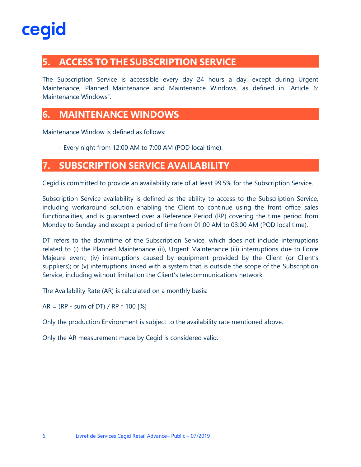### **5. ACCESS TO THE SUBSCRIPTION SERVICE**

The Subscription Service is accessible every day 24 hours a day, except during Urgent Maintenance, Planned Maintenance and Maintenance Windows, as defined in "Article 6: Maintenance Windows".

#### **6. MAINTENANCE WINDOWS**

Maintenance Window is defined as follows:

- Every night from 12:00 AM to 7:00 AM (POD local time).

#### **7. SUBSCRIPTION SERVICE AVAILABILITY**

Cegid is committed to provide an availability rate of at least 99.5% for the Subscription Service.

Subscription Service availability is defined as the ability to access to the Subscription Service, including workaround solution enabling the Client to continue using the front office sales functionalities, and is guaranteed over a Reference Period (RP) covering the time period from Monday to Sunday and except a period of time from 01:00 AM to 03:00 AM (POD local time).

DT refers to the downtime of the Subscription Service, which does not include interruptions related to (i) the Planned Maintenance (ii), Urgent Maintenance (iii) interruptions due to Force Majeure event; (iv) interruptions caused by equipment provided by the Client (or Client's suppliers); or (v) interruptions linked with a system that is outside the scope of the Subscription Service, including without limitation the Client's telecommunications network.

The Availability Rate (AR) is calculated on a monthly basis:

 $AR = (RP - sum of DT) / RP * 100 [%]$ 

Only the production Environment is subject to the availability rate mentioned above.

Only the AR measurement made by Cegid is considered valid.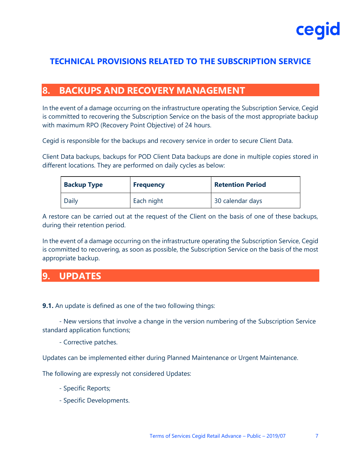

#### **TECHNICAL PROVISIONS RELATED TO THE SUBSCRIPTION SERVICE**

#### **8. BACKUPS AND RECOVERY MANAGEMENT**

In the event of a damage occurring on the infrastructure operating the Subscription Service, Cegid is committed to recovering the Subscription Service on the basis of the most appropriate backup with maximum RPO (Recovery Point Objective) of 24 hours.

Cegid is responsible for the backups and recovery service in order to secure Client Data.

Client Data backups, backups for POD Client Data backups are done in multiple copies stored in different locations. They are performed on daily cycles as below:

| <b>Backup Type</b> | <b>Frequency</b> | <b>Retention Period</b> |  |
|--------------------|------------------|-------------------------|--|
| Daily              | Each night       | 30 calendar days        |  |

A restore can be carried out at the request of the Client on the basis of one of these backups, during their retention period.

In the event of a damage occurring on the infrastructure operating the Subscription Service, Cegid is committed to recovering, as soon as possible, the Subscription Service on the basis of the most appropriate backup.

#### **9. UPDATES**

**9.1.** An update is defined as one of the two following things:

- New versions that involve a change in the version numbering of the Subscription Service standard application functions;

- Corrective patches.

Updates can be implemented either during Planned Maintenance or Urgent Maintenance.

The following are expressly not considered Updates:

- Specific Reports;
- Specific Developments.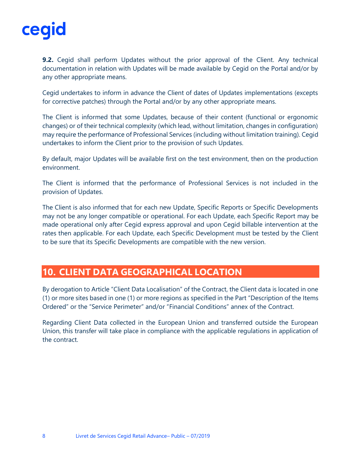

**9.2.** Cegid shall perform Updates without the prior approval of the Client. Any technical documentation in relation with Updates will be made available by Cegid on the Portal and/or by any other appropriate means.

Cegid undertakes to inform in advance the Client of dates of Updates implementations (excepts for corrective patches) through the Portal and/or by any other appropriate means.

The Client is informed that some Updates, because of their content (functional or ergonomic changes) or of their technical complexity (which lead, without limitation, changes in configuration) may require the performance of Professional Services (including without limitation training). Cegid undertakes to inform the Client prior to the provision of such Updates.

By default, major Updates will be available first on the test environment, then on the production environment.

The Client is informed that the performance of Professional Services is not included in the provision of Updates.

The Client is also informed that for each new Update, Specific Reports or Specific Developments may not be any longer compatible or operational. For each Update, each Specific Report may be made operational only after Cegid express approval and upon Cegid billable intervention at the rates then applicable. For each Update, each Specific Development must be tested by the Client to be sure that its Specific Developments are compatible with the new version.

#### **10. CLIENT DATA GEOGRAPHICAL LOCATION**

By derogation to Article "Client Data Localisation" of the Contract, the Client data is located in one (1) or more sites based in one (1) or more regions as specified in the Part "Description of the Items Ordered" or the "Service Perimeter" and/or "Financial Conditions" annex of the Contract.

Regarding Client Data collected in the European Union and transferred outside the European Union, this transfer will take place in compliance with the applicable regulations in application of the contract.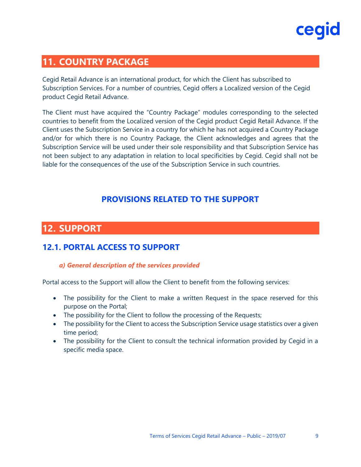### **11. COUNTRY PACKAGE**

Cegid Retail Advance is an international product, for which the Client has subscribed to Subscription Services. For a number of countries, Cegid offers a Localized version of the Cegid product Cegid Retail Advance.

The Client must have acquired the "Country Package" modules corresponding to the selected countries to benefit from the Localized version of the Cegid product Cegid Retail Advance. If the Client uses the Subscription Service in a country for which he has not acquired a Country Package and/or for which there is no Country Package, the Client acknowledges and agrees that the Subscription Service will be used under their sole responsibility and that Subscription Service has not been subject to any adaptation in relation to local specificities by Cegid. Cegid shall not be liable for the consequences of the use of the Subscription Service in such countries.

#### **PROVISIONS RELATED TO THE SUPPORT**

#### **12. SUPPORT**

#### **12.1. PORTAL ACCESS TO SUPPORT**

#### *a) General description of the services provided*

Portal access to the Support will allow the Client to benefit from the following services:

- The possibility for the Client to make a written Request in the space reserved for this purpose on the Portal;
- The possibility for the Client to follow the processing of the Requests;
- The possibility for the Client to access the Subscription Service usage statistics over a given time period;
- The possibility for the Client to consult the technical information provided by Cegid in a specific media space.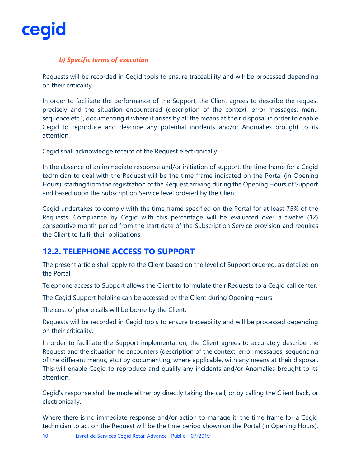

#### *b) Specific terms of execution*

Requests will be recorded in Cegid tools to ensure traceability and will be processed depending on their criticality.

In order to facilitate the performance of the Support, the Client agrees to describe the request precisely and the situation encountered (description of the context, error messages, menu sequence etc.), documenting it where it arises by all the means at their disposal in order to enable Cegid to reproduce and describe any potential incidents and/or Anomalies brought to its attention.

Cegid shall acknowledge receipt of the Request electronically.

In the absence of an immediate response and/or initiation of support, the time frame for a Cegid technician to deal with the Request will be the time frame indicated on the Portal (in Opening Hours), starting from the registration of the Request arriving during the Opening Hours of Support and based upon the Subscription Service level ordered by the Client.

Cegid undertakes to comply with the time frame specified on the Portal for at least 75% of the Requests. Compliance by Cegid with this percentage will be evaluated over a twelve (12) consecutive month period from the start date of the Subscription Service provision and requires the Client to fulfil their obligations.

#### **12.2. TELEPHONE ACCESS TO SUPPORT**

The present article shall apply to the Client based on the level of Support ordered, as detailed on the Portal.

Telephone access to Support allows the Client to formulate their Requests to a Cegid call center.

The Cegid Support helpline can be accessed by the Client during Opening Hours.

The cost of phone calls will be borne by the Client.

Requests will be recorded in Cegid tools to ensure traceability and will be processed depending on their criticality.

In order to facilitate the Support implementation, the Client agrees to accurately describe the Request and the situation he encounters (description of the context, error messages, sequencing of the different menus, etc.) by documenting, where applicable, with any means at their disposal. This will enable Cegid to reproduce and qualify any incidents and/or Anomalies brought to its attention.

Cegid's response shall be made either by directly taking the call, or by calling the Client back, or electronically.

Where there is no immediate response and/or action to manage it, the time frame for a Cegid technician to act on the Request will be the time period shown on the Portal (in Opening Hours),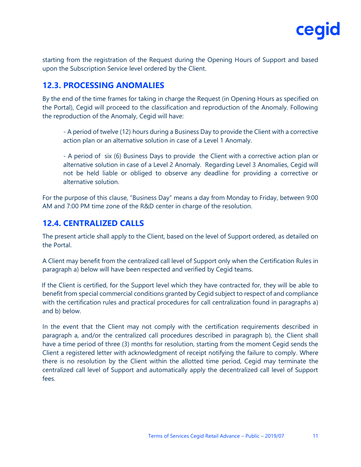

starting from the registration of the Request during the Opening Hours of Support and based upon the Subscription Service level ordered by the Client.

#### **12.3. PROCESSING ANOMALIES**

By the end of the time frames for taking in charge the Request (in Opening Hours as specified on the Portal), Cegid will proceed to the classification and reproduction of the Anomaly. Following the reproduction of the Anomaly, Cegid will have:

- A period of twelve (12) hours during a Business Day to provide the Client with a corrective action plan or an alternative solution in case of a Level 1 Anomaly.

- A period of six (6) Business Days to provide the Client with a corrective action plan or alternative solution in case of a Level 2 Anomaly. Regarding Level 3 Anomalies, Cegid will not be held liable or obliged to observe any deadline for providing a corrective or alternative solution.

For the purpose of this clause, "Business Day" means a day from Monday to Friday, between 9:00 AM and 7:00 PM time zone of the R&D center in charge of the resolution.

#### **12.4. CENTRALIZED CALLS**

The present article shall apply to the Client, based on the level of Support ordered, as detailed on the Portal.

A Client may benefit from the centralized call level of Support only when the Certification Rules in paragraph a) below will have been respected and verified by Cegid teams.

If the Client is certified, for the Support level which they have contracted for, they will be able to benefit from special commercial conditions granted by Cegid subject to respect of and compliance with the certification rules and practical procedures for call centralization found in paragraphs a) and b) below.

In the event that the Client may not comply with the certification requirements described in paragraph a, and/or the centralized call procedures described in paragraph b), the Client shall have a time period of three (3) months for resolution, starting from the moment Cegid sends the Client a registered letter with acknowledgment of receipt notifying the failure to comply. Where there is no resolution by the Client within the allotted time period, Cegid may terminate the centralized call level of Support and automatically apply the decentralized call level of Support fees.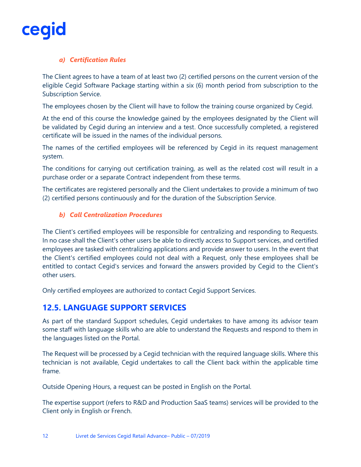#### *a) Certification Rules*

The Client agrees to have a team of at least two (2) certified persons on the current version of the eligible Cegid Software Package starting within a six (6) month period from subscription to the Subscription Service.

The employees chosen by the Client will have to follow the training course organized by Cegid.

At the end of this course the knowledge gained by the employees designated by the Client will be validated by Cegid during an interview and a test. Once successfully completed, a registered certificate will be issued in the names of the individual persons.

The names of the certified employees will be referenced by Cegid in its request management system.

The conditions for carrying out certification training, as well as the related cost will result in a purchase order or a separate Contract independent from these terms.

The certificates are registered personally and the Client undertakes to provide a minimum of two (2) certified persons continuously and for the duration of the Subscription Service.

#### *b) Call Centralization Procedures*

The Client's certified employees will be responsible for centralizing and responding to Requests. In no case shall the Client's other users be able to directly access to Support services, and certified employees are tasked with centralizing applications and provide answer to users. In the event that the Client's certified employees could not deal with a Request, only these employees shall be entitled to contact Cegid's services and forward the answers provided by Cegid to the Client's other users.

Only certified employees are authorized to contact Cegid Support Services.

#### **12.5. LANGUAGE SUPPORT SERVICES**

As part of the standard Support schedules, Cegid undertakes to have among its advisor team some staff with language skills who are able to understand the Requests and respond to them in the languages listed on the Portal.

The Request will be processed by a Cegid technician with the required language skills. Where this technician is not available, Cegid undertakes to call the Client back within the applicable time frame.

Outside Opening Hours, a request can be posted in English on the Portal.

The expertise support (refers to R&D and Production SaaS teams) services will be provided to the Client only in English or French.